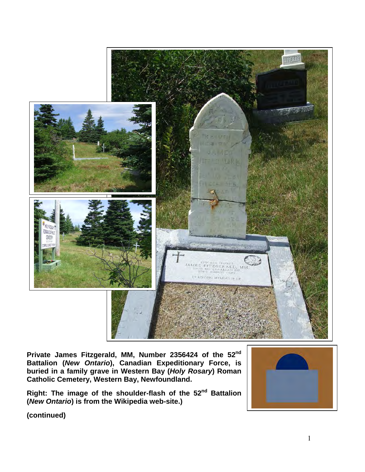

**Private James Fitzgerald, MM, Number 2356424 of the 52nd Battalion (***New Ontario***), Canadian Expeditionary Force, is buried in a family grave in Western Bay (***Holy Rosary***) Roman Catholic Cemetery, Western Bay, Newfoundland.** 

**Right: The image of the shoulder-flash of the 52nd Battalion (***New Ontario***) is from the Wikipedia web-site.)**

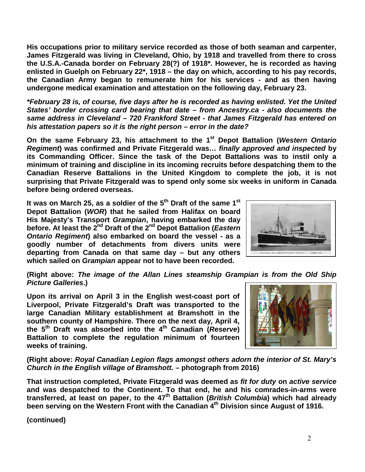**His occupations prior to military service recorded as those of both seaman and carpenter, James Fitzgerald was living in Cleveland, Ohio, by 1918 and travelled from there to cross the U.S.A.-Canada border on February 28(?) of 1918\*. However, he is recorded as having enlisted in Guelph on February 22\*, 1918 – the day on which, according to his pay records, the Canadian Army began to remunerate him for his services - and as then having undergone medical examination and attestation on the following day, February 23.** 

*\*February 28 is, of course, five days after he is recorded as having enlisted. Yet the United States' border crossing card bearing that date – from Ancestry.ca - also documents the same address in Cleveland – 720 Frankford Street - that James Fitzgerald has entered on his attestation papers so it is the right person – error in the date?* 

**On the same February 23, his attachment to the 1st Depot Battalion (***Western Ontario Regiment***) was confirmed and Private Fitzgerald was…** *finally approved and inspected* **by its Commanding Officer. Since the task of the Depot Battalions was to instil only a minimum of training and discipline in its incoming recruits before despatching them to the Canadian Reserve Battalions in the United Kingdom to complete the job, it is not surprising that Private Fitzgerald was to spend only some six weeks in uniform in Canada before being ordered overseas.**

**It was on March 25, as a soldier of the 5th Draft of the same 1st Depot Battalion (***WOR***) that he sailed from Halifax on board His Majesty's Transport** *Grampian***, having embarked the day before. At least the 2nd Draft of the 2nd Depot Battalion (***Eastern Ontario Regiment***) also embarked on board the vessel - as a goodly number of detachments from divers units were departing from Canada on that same day – but any others which sailed on** *Grampian* **appear not to have been recorded.**



**(Right above:** *The image of the Allan Lines steamship Grampian is from the Old Ship Picture Galleries***.)**

**Upon its arrival on April 3 in the English west-coast port of Liverpool, Private Fitzgerald's Draft was transported to the large Canadian Military establishment at Bramshott in the southern county of Hampshire. There on the next day, April 4, the 5th Draft was absorbed into the 4th Canadian (***Reserve***) Battalion to complete the regulation minimum of fourteen weeks of training.**



**(Right above:** *Royal Canadian Legion flags amongst others adorn the interior of St. Mary's Church in the English village of Bramshott.* **– photograph from 2016)**

**That instruction completed, Private Fitzgerald was deemed as** *fit for duty* **on** *active service* **and was despatched to the Continent. To that end, he and his comrades-in-arms were transferred, at least on paper, to the 47th Battalion (***British Columbia***) which had already been serving on the Western Front with the Canadian 4th Division since August of 1916.**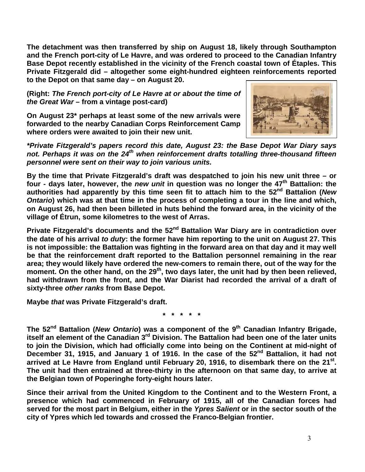**The detachment was then transferred by ship on August 18, likely through Southampton and the French port-city of Le Havre, and was ordered to proceed to the Canadian Infantry Base Depot recently established in the vicinity of the French coastal town of Étaples. This Private Fitzgerald did – altogether some eight-hundred eighteen reinforcements reported to the Depot on that same day – on August 20.**

**(Right:** *The French port-city of Le Havre at or about the time of the Great War* **– from a vintage post-card)**

**On August 23\* perhaps at least some of the new arrivals were forwarded to the nearby Canadian Corps Reinforcement Camp where orders were awaited to join their new unit.**



*\*Private Fitzgerald's papers record this date, August 23: the Base Depot War Diary says*  not. Perhaps it was on the 24<sup>th</sup> when reinforcement drafts totalling three-thousand fifteen *personnel were sent on their way to join various units.* 

**By the time that Private Fitzgerald's draft was despatched to join his new unit three – or four - days later, however, the** *new unit* **in question was no longer the 47th Battalion: the authorities had apparently by this time seen fit to attach him to the 52nd Battalion (***New Ontario***) which was at that time in the process of completing a tour in the line and which, on August 26, had then been billeted in huts behind the forward area, in the vicinity of the village of Étrun, some kilometres to the west of Arras.**

Private Fitzgerald's documents and the 52<sup>nd</sup> Battalion War Diary are in contradiction over **the date of his arrival** *to duty***: the former have him reporting to the unit on August 27. This is not impossible: the Battalion was fighting in the forward area on that day and it may well be that the reinforcement draft reported to the Battalion personnel remaining in the rear area; they would likely have ordered the new-comers to remain there, out of the way for the moment. On the other hand, on the 29th, two days later, the unit had by then been relieved, had withdrawn from the front, and the War Diarist had recorded the arrival of a draft of sixty-three** *other ranks* **from Base Depot.** 

**Maybe** *that* **was Private Fitzgerald's draft.**

**\* \* \* \* \***

The 52<sup>nd</sup> Battalion (*New Ontario*) was a component of the 9<sup>th</sup> Canadian Infantry Brigade, **itself an element of the Canadian 3rd Division. The Battalion had been one of the later units to join the Division, which had officially come into being on the Continent at mid-night of**  December 31, 1915, and January 1 of 1916. In the case of the 52<sup>nd</sup> Battalion, it had not **arrived at Le Havre from England until February 20, 1916, to disembark there on the 21st. The unit had then entrained at three-thirty in the afternoon on that same day, to arrive at the Belgian town of Poperinghe forty-eight hours later.**

**Since their arrival from the United Kingdom to the Continent and to the Western Front, a presence which had commenced in February of 1915, all of the Canadian forces had served for the most part in Belgium, either in the** *Ypres Salient* **or in the sector south of the city of Ypres which led towards and crossed the Franco-Belgian frontier.**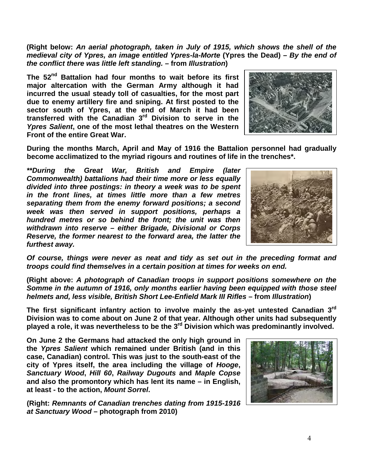**(Right below:** *An aerial photograph, taken in July of 1915, which shows the shell of the medieval city of Ypres, an image entitled Ypres-la-Morte* **(Ypres the Dead)** *– By the end of the conflict there was little left standing. –* **from** *Illustration***)** 

**The 52nd Battalion had four months to wait before its first major altercation with the German Army although it had incurred the usual steady toll of casualties, for the most part due to enemy artillery fire and sniping. At first posted to the sector south of Ypres, at the end of March it had been transferred with the Canadian 3rd Division to serve in the**  *Ypres Salient***, one of the most lethal theatres on the Western Front of the entire Great War.** 



**During the months March, April and May of 1916 the Battalion personnel had gradually become acclimatized to the myriad rigours and routines of life in the trenches\*.** 

*\*\*During the Great War, British and Empire (later Commonwealth) battalions had their time more or less equally divided into three postings: in theory a week was to be spent in the front lines, at times little more than a few metres separating them from the enemy forward positions; a second week was then served in support positions, perhaps a hundred metres or so behind the front; the unit was then withdrawn into reserve – either Brigade, Divisional or Corps Reserve, the former nearest to the forward area, the latter the furthest away.* 



*Of course, things were never as neat and tidy as set out in the preceding format and troops could find themselves in a certain position at times for weeks on end.*

**(Right above:** *A photograph of Canadian troops in support positions somewhere on the Somme in the autumn of 1916, only months earlier having been equipped with those steel helmets and, less visible, British Short Lee-Enfield Mark III Rifles* **– from** *Illustration***)** 

**The first significant infantry action to involve mainly the as-yet untested Canadian 3rd Division was to come about on June 2 of that year. Although other units had subsequently played a role, it was nevertheless to be the 3rd Division which was predominantly involved.** 

**On June 2 the Germans had attacked the only high ground in the** *Ypres Salient* **which remained under British (and in this case, Canadian) control. This was just to the south-east of the city of Ypres itself, the area including the village of** *Hooge***,**  *Sanctuary Wood***,** *Hill 60***,** *Railway Dugouts* **and** *Maple Copse* **and also the promontory which has lent its name – in English, at least - to the action,** *Mount Sorrel***.** 

**(Right:** *Remnants of Canadian trenches dating from 1915-1916 at Sanctuary Wood* **– photograph from 2010)**

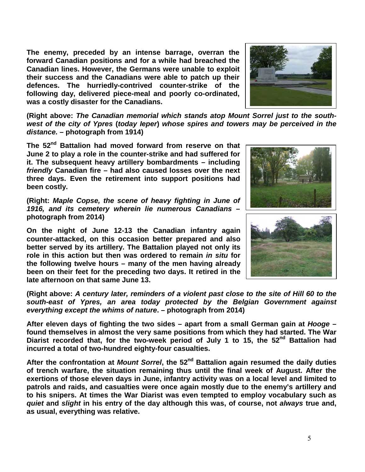**The enemy, preceded by an intense barrage, overran the forward Canadian positions and for a while had breached the Canadian lines. However, the Germans were unable to exploit their success and the Canadians were able to patch up their defences. The hurriedly-contrived counter-strike of the following day, delivered piece-meal and poorly co-ordinated, was a costly disaster for the Canadians.**



**(Right above:** *The Canadian memorial which stands atop Mount Sorrel just to the southwest of the city of Ypres* **(***today Ieper***)** *whose spires and towers may be perceived in the distance.* **– photograph from 1914)**

**The 52nd Battalion had moved forward from reserve on that June 2 to play a role in the counter-strike and had suffered for it. The subsequent heavy artillery bombardments – including**  *friendly* **Canadian fire – had also caused losses over the next three days. Even the retirement into support positions had been costly.**

**(Right:** *Maple Copse, the scene of heavy fighting in June of 1916, and its cemetery wherein lie numerous Canadians* **– photograph from 2014)**

**On the night of June 12-13 the Canadian infantry again counter-attacked, on this occasion better prepared and also better served by its artillery. The Battalion played not only its role in this action but then was ordered to remain** *in situ* **for the following twelve hours – many of the men having already been on their feet for the preceding two days. It retired in the late afternoon on that same June 13.** 



**(Right above:** *A century later, reminders of a violent past close to the site of Hill 60 to the south-east of Ypres, an area today protected by the Belgian Government against everything except the whims of nature***. – photograph from 2014)**

**After eleven days of fighting the two sides – apart from a small German gain at** *Hooge* **– found themselves in almost the very same positions from which they had started. The War Diarist recorded that, for the two-week period of July 1 to 15, the 52nd Battalion had incurred a total of two-hundred eighty-four casualties.**

After the confrontation at *Mount Sorrel*, the 52<sup>nd</sup> Battalion again resumed the daily duties **of trench warfare, the situation remaining thus until the final week of August. After the exertions of those eleven days in June, infantry activity was on a local level and limited to patrols and raids, and casualties were once again mostly due to the enemy's artillery and to his snipers. At times the War Diarist was even tempted to employ vocabulary such as**  *quiet* **and** *slight* **in his entry of the day although this was, of course, not** *always* **true and, as usual, everything was relative.**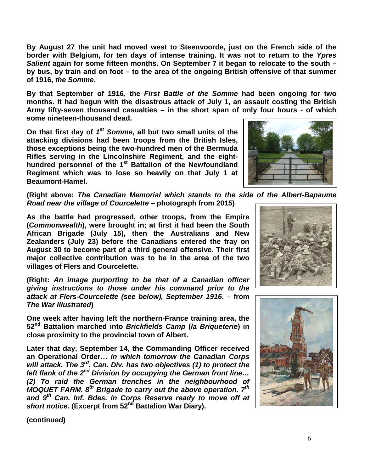**By August 27 the unit had moved west to Steenvoorde, just on the French side of the border with Belgium, for ten days of intense training. It was not to return to the** *Ypres Salient* **again for some fifteen months. On September 7 it began to relocate to the south – by bus, by train and on foot – to the area of the ongoing British offensive of that summer of 1916,** *the Somme***.** 

**By that September of 1916, the** *First Battle of the Somme* **had been ongoing for two months. It had begun with the disastrous attack of July 1, an assault costing the British Army fifty-seven thousand casualties – in the short span of only four hours - of which some nineteen-thousand dead.** 

**On that first day of** *1st Somme***, all but two small units of the attacking divisions had been troops from the British Isles, those exceptions being the two-hundred men of the Bermuda Rifles serving in the Lincolnshire Regiment, and the eighthundred personnel of the 1st Battalion of the Newfoundland Regiment which was to lose so heavily on that July 1 at Beaumont-Hamel.**

**(Right above:** *The Canadian Memorial which stands to the side of the Albert-Bapaume Road near the village of Courcelette* **– photograph from 2015)**

**As the battle had progressed, other troops, from the Empire (***Commonwealth***), were brought in; at first it had been the South African Brigade (July 15), then the Australians and New Zealanders (July 23) before the Canadians entered the fray on August 30 to become part of a third general offensive. Their first major collective contribution was to be in the area of the two villages of Flers and Courcelette.**

**(Right:** *An image purporting to be that of a Canadian officer giving instructions to those under his command prior to the attack at Flers-Courcelette (see below), September 1916***. – from**  *The War Illustrated***)** 

**One week after having left the northern-France training area, the 52nd Battalion marched into** *Brickfields Camp* **(***la Briqueterie***) in close proximity to the provincial town of Albert.** 

**Later that day, September 14, the Commanding Officer received an Operational Order…** *in which tomorrow the Canadian Corps will attack. The 3rd. Can. Div. has two objectives (1) to protect the left flank of the 2nd Division by occupying the German front line… (2) To raid the German trenches in the neighbourhood of MOQUET FARM. 8th Brigade to carry out the above operation. 7th and 9th Can. Inf. Bdes. in Corps Reserve ready to move off at short notice.* **(Excerpt from 52nd Battalion War Diary).**





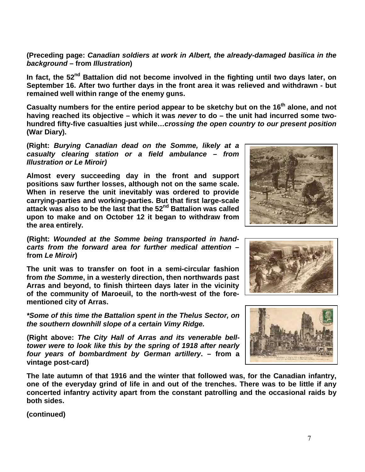**(Preceding page:** *Canadian soldiers at work in Albert, the already-damaged basilica in the background* **– from** *Illustration***)** 

In fact, the 52<sup>nd</sup> Battalion did not become involved in the fighting until two days later, on **September 16. After two further days in the front area it was relieved and withdrawn - but remained well within range of the enemy guns.** 

**Casualty numbers for the entire period appear to be sketchy but on the 16th alone, and not having reached its objective – which it was** *never* **to do – the unit had incurred some twohundred fifty-five casualties just while…***crossing the open country to our present position* **(War Diary).**

**(Right:** *Burying Canadian dead on the Somme, likely at a casualty clearing station or a field ambulance – from Illustration or Le Miroir)*

**Almost every succeeding day in the front and support positions saw further losses, although not on the same scale. When in reserve the unit inevitably was ordered to provide carrying-parties and working-parties. But that first large-scale attack was also to be the last that the 52nd Battalion was called upon to make and on October 12 it began to withdraw from the area entirely.**

**(Right:** *Wounded at the Somme being transported in handcarts from the forward area for further medical attention* **– from** *Le Miroir***)** 

**The unit was to transfer on foot in a semi-circular fashion from** *the Somme***, in a westerly direction, then northwards past Arras and beyond, to finish thirteen days later in the vicinity of the community of Maroeuil, to the north-west of the forementioned city of Arras.** 

*\*Some of this time the Battalion spent in the Thelus Sector, on the southern downhill slope of a certain Vimy Ridge.*

**(Right above:** *The City Hall of Arras and its venerable belltower were to look like this by the spring of 1918 after nearly four years of bombardment by German artillery***. – from a vintage post-card)** 

**The late autumn of that 1916 and the winter that followed was, for the Canadian infantry, one of the everyday grind of life in and out of the trenches. There was to be little if any concerted infantry activity apart from the constant patrolling and the occasional raids by both sides.** 





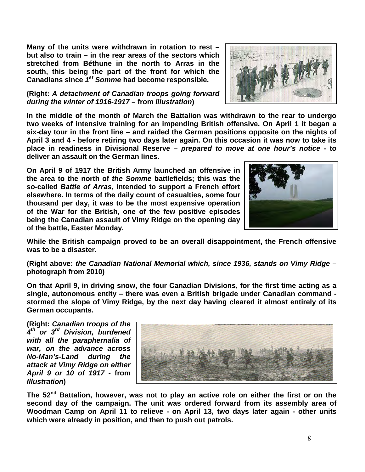**Many of the units were withdrawn in rotation to rest – but also to train – in the rear areas of the sectors which stretched from Béthune in the north to Arras in the south, this being the part of the front for which the Canadians since** *1st Somme* **had become responsible.**

## **(Right:** *A detachment of Canadian troops going forward during the winter of 1916-1917* **– from** *Illustration***)**

**In the middle of the month of March the Battalion was withdrawn to the rear to undergo two weeks of intensive training for an impending British offensive. On April 1 it began a six-day tour in the front line – and raided the German positions opposite on the nights of April 3 and 4 - before retiring two days later again. On this occasion it was now to take its place in readiness in Divisional Reserve –** *prepared to move at one hour's notice* **- to deliver an assault on the German lines.** 

**On April 9 of 1917 the British Army launched an offensive in the area to the north of** *the Somme* **battlefields; this was the so-called** *Battle of Arras***, intended to support a French effort elsewhere. In terms of the daily count of casualties, some four thousand per day, it was to be the most expensive operation of the War for the British, one of the few positive episodes being the Canadian assault of Vimy Ridge on the opening day of the battle, Easter Monday.**

**While the British campaign proved to be an overall disappointment, the French offensive was to be a disaster.** 

## **(Right above:** *the Canadian National Memorial which, since 1936, stands on Vimy Ridge* **– photograph from 2010)**

**On that April 9, in driving snow, the four Canadian Divisions, for the first time acting as a single, autonomous entity – there was even a British brigade under Canadian command stormed the slope of Vimy Ridge, by the next day having cleared it almost entirely of its German occupants.**

**(Right:** *Canadian troops of the 4th or 3rd Division, burdened with all the paraphernalia of war, on the advance across No-Man's-Land during the attack at Vimy Ridge on either April 9 or 10 of 1917* **- from**  *Illustration***)** 

The 52<sup>nd</sup> Battalion, however, was not to play an active role on either the first or on the **second day of the campaign. The unit was ordered forward from its assembly area of Woodman Camp on April 11 to relieve - on April 13, two days later again - other units which were already in position, and then to push out patrols.**





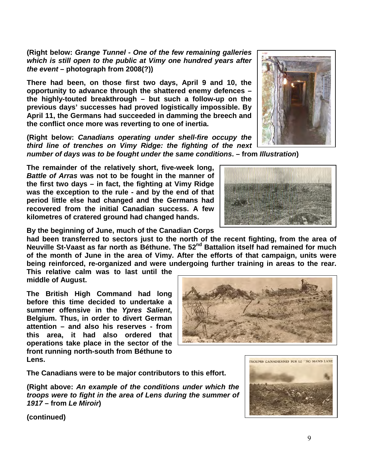**(Right below:** *Grange Tunnel - One of the few remaining galleries which is still open to the public at Vimy one hundred years after the event* **– photograph from 2008(?))**

**There had been, on those first two days, April 9 and 10, the opportunity to advance through the shattered enemy defences – the highly-touted breakthrough – but such a follow-up on the previous days' successes had proved logistically impossible. By April 11, the Germans had succeeded in damming the breech and the conflict once more was reverting to one of inertia.**

**(Right below:** *Canadians operating under shell-fire occupy the third line of trenches on Vimy Ridge: the fighting of the next number of days was to be fought under the same conditions***. – from** *Illustration***)** 

**The remainder of the relatively short, five-week long,**  *Battle of Arras* **was not to be fought in the manner of the first two days – in fact, the fighting at Vimy Ridge was the exception to the rule - and by the end of that period little else had changed and the Germans had recovered from the initial Canadian success. A few kilometres of cratered ground had changed hands.**

**By the beginning of June, much of the Canadian Corps** 

**had been transferred to sectors just to the north of the recent fighting, from the area of Neuville St-Vaast as far north as Béthune. The 52nd Battalion itself had remained for much of the month of June in the area of Vimy. After the efforts of that campaign, units were being reinforced, re-organized and were undergoing further training in areas to the rear.** 

**This relative calm was to last until the middle of August.**

**The British High Command had long before this time decided to undertake a summer offensive in the** *Ypres Salient***, Belgium. Thus, in order to divert German attention – and also his reserves - from this area, it had also ordered that operations take place in the sector of the front running north-south from Béthune to Lens.** 

**The Canadians were to be major contributors to this effort.**

**(Right above:** *An example of the conditions under which the troops were to fight in the area of Lens during the summer of 1917* **– from** *Le Miroir***)** 









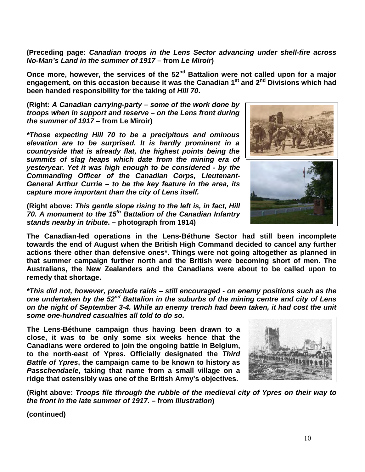**(Preceding page:** *Canadian troops in the Lens Sector advancing under shell-fire across No-Man's Land in the summer of 1917* **– from** *Le Miroir***)** 

**Once more, however, the services of the 52nd Battalion were not called upon for a major engagement, on this occasion because it was the Canadian 1st and 2nd Divisions which had been handed responsibility for the taking of** *Hill 70***.** 

**(Right:** *A Canadian carrying-party – some of the work done by troops when in support and reserve – on the Lens front during the summer of 1917* **– from Le Miroir)**

*\*Those expecting Hill 70 to be a precipitous and ominous elevation are to be surprised. It is hardly prominent in a countryside that is already flat, the highest points being the summits of slag heaps which date from the mining era of yesteryear. Yet it was high enough to be considered - by the Commanding Officer of the Canadian Corps, Lieutenant-General Arthur Currie – to be the key feature in the area, its capture more important than the city of Lens itself.*

**(Right above:** *This gentle slope rising to the left is, in fact, Hill 70. A monument to the 15th Battalion of the Canadian Infantry stands nearby in tribute***. – photograph from 1914)**

**The Canadian-led operations in the Lens-Béthune Sector had still been incomplete towards the end of August when the British High Command decided to cancel any further actions there other than defensive ones\*. Things were not going altogether as planned in that summer campaign further north and the British were becoming short of men. The Australians, the New Zealanders and the Canadians were about to be called upon to remedy that shortage.**

*\*This did not, however, preclude raids – still encouraged - on enemy positions such as the one undertaken by the 52nd Battalion in the suburbs of the mining centre and city of Lens on the night of September 3-4. While an enemy trench had been taken, it had cost the unit some one-hundred casualties all told to do so.* 

**The Lens-Béthune campaign thus having been drawn to a close, it was to be only some six weeks hence that the Canadians were ordered to join the ongoing battle in Belgium, to the north-east of Ypres. Officially designated the** *Third Battle of Ypres***, the campaign came to be known to history as**  *Passchendaele***, taking that name from a small village on a ridge that ostensibly was one of the British Army's objectives.**

**(Right above:** *Troops file through the rubble of the medieval city of Ypres on their way to the front in the late summer of 1917***. – from** *Illustration***)** 



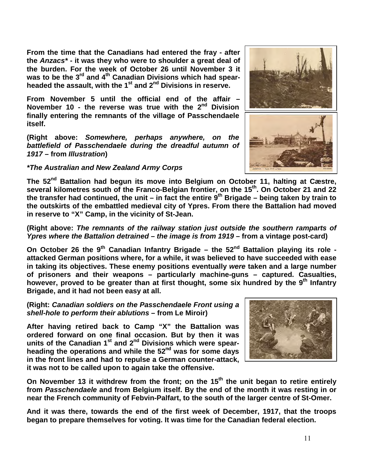**From the time that the Canadians had entered the fray - after the** *Anzacs\** **- it was they who were to shoulder a great deal of the burden. For the week of October 26 until November 3 it**  was to be the 3<sup>rd</sup> and 4<sup>th</sup> Canadian Divisions which had spear**headed the assault, with the 1st and 2nd Divisions in reserve.** 

**From November 5 until the official end of the affair – November 10 - the reverse was true with the 2nd Division finally entering the remnants of the village of Passchendaele itself.**

**(Right above:** *Somewhere, perhaps anywhere, on the battlefield of Passchendaele during the dreadful autumn of 1917* **– from** *Illustration***)** 

# *\*The Australian and New Zealand Army Corps*

**The 52nd Battalion had begun its move into Belgium on October 11, halting at Cæstre,**  several kilometres south of the Franco-Belgian frontier, on the 15<sup>th</sup>. On October 21 and 22 **the transfer had continued, the unit – in fact the entire 9th Brigade – being taken by train to the outskirts of the embattled medieval city of Ypres. From there the Battalion had moved in reserve to "X" Camp, in the vicinity of St-Jean.**

**(Right above:** *The remnants of the railway station just outside the southern ramparts of Ypres where the Battalion detrained – the image is from 1919* **– from a vintage post-card)**

**On October 26 the 9th Canadian Infantry Brigade – the 52nd Battalion playing its role attacked German positions where, for a while, it was believed to have succeeded with ease in taking its objectives. These enemy positions eventually** *were* **taken and a large number of prisoners and their weapons – particularly machine-guns – captured. Casualties, however, proved to be greater than at first thought, some six hundred by the 9th Infantry Brigade, and it had not been easy at all.**

## **(Right:** *Canadian soldiers on the Passchendaele Front using a shell-hole to perform their ablutions* **– from Le Miroir)**

**After having retired back to Camp "X" the Battalion was ordered forward on one final occasion. But by then it was units of the Canadian 1st and 2nd Divisions which were spearheading the operations and while the 52nd was for some days in the front lines and had to repulse a German counter-attack, it was not to be called upon to again take the offensive.**

**On November 13 it withdrew from the front; on the 15th the unit began to retire entirely from** *Passchendaele* **and from Belgium itself. By the end of the month it was resting in or near the French community of Febvin-Palfart, to the south of the larger centre of St-Omer.** 

**And it was there, towards the end of the first week of December, 1917, that the troops began to prepare themselves for voting. It was time for the Canadian federal election.**

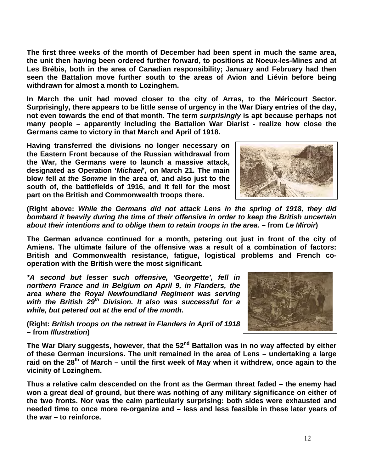12

**The first three weeks of the month of December had been spent in much the same area, the unit then having been ordered further forward, to positions at Noeux-les-Mines and at Les Brébis, both in the area of Canadian responsibility; January and February had then seen the Battalion move further south to the areas of Avion and Liévin before being withdrawn for almost a month to Lozinghem.**

**In March the unit had moved closer to the city of Arras, to the Méricourt Sector. Surprisingly, there appears to be little sense of urgency in the War Diary entries of the day, not even towards the end of that month. The term** *surprisingly* **is apt because perhaps not many people – apparently including the Battalion War Diarist - realize how close the Germans came to victory in that March and April of 1918.** 

**Having transferred the divisions no longer necessary on the Eastern Front because of the Russian withdrawal from the War, the Germans were to launch a massive attack, designated as Operation '***Michael***', on March 21. The main blow fell at** *the Somme* **in the area of, and also just to the south of, the battlefields of 1916, and it fell for the most part on the British and Commonwealth troops there.**

**(Right above:** *While the Germans did not attack Lens in the spring of 1918, they did bombard it heavily during the time of their offensive in order to keep the British uncertain about their intentions and to oblige them to retain troops in the area***. – from** *Le Miroir***)** 

**The German advance continued for a month, petering out just in front of the city of Amiens. The ultimate failure of the offensive was a result of a combination of factors: British and Commonwealth resistance, fatigue, logistical problems and French cooperation with the British were the most significant.**

*\*A second but lesser such offensive, 'Georgette', fell in northern France and in Belgium on April 9, in Flanders, the area where the Royal Newfoundland Regiment was serving with the British 29th Division. It also was successful for a while, but petered out at the end of the month.*

**(Right:** *British troops on the retreat in Flanders in April of 1918*  **– from** *Illustration***)** 

The War Diary suggests, however, that the 52<sup>nd</sup> Battalion was in no way affected by either **of these German incursions. The unit remained in the area of Lens – undertaking a large raid on the 28th of March – until the first week of May when it withdrew, once again to the vicinity of Lozinghem.**

**Thus a relative calm descended on the front as the German threat faded – the enemy had won a great deal of ground, but there was nothing of any military significance on either of the two fronts. Nor was the calm particularly surprising: both sides were exhausted and needed time to once more re-organize and – less and less feasible in these later years of the war – to reinforce.**



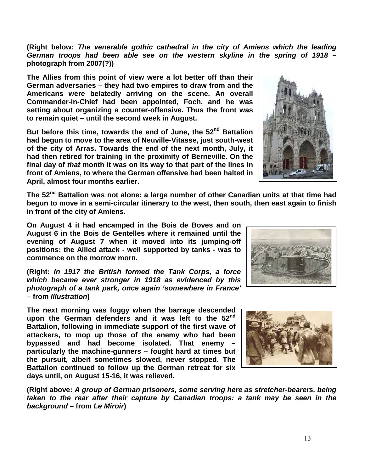13

**(Right below:** *The venerable gothic cathedral in the city of Amiens which the leading*  German troops had been able see on the western skyline in the spring of 1918 **photograph from 2007(?))**

**The Allies from this point of view were a lot better off than their German adversaries – they had two empires to draw from and the Americans were belatedly arriving on the scene. An overall Commander-in-Chief had been appointed, Foch, and he was setting about organizing a counter-offensive. Thus the front was to remain quiet – until the second week in August.**

**But before this time, towards the end of June, the 52nd Battalion had begun to move to the area of Neuville-Vitasse, just south-west of the city of Arras. Towards the end of the next month, July, it had then retired for training in the proximity of Berneville. On the final day of** *that* **month it was on its way to that part of the lines in front of Amiens, to where the German offensive had been halted in April, almost four months earlier.**

**The 52nd Battalion was not alone: a large number of other Canadian units at that time had begun to move in a semi-circular itinerary to the west, then south, then east again to finish in front of the city of Amiens.** 

**On August 4 it had encamped in the Bois de Boves and on August 6 in the Bois de Gentelles where it remained until the evening of August 7 when it moved into its jumping-off positions: the Allied attack - well supported by tanks - was to commence on the morrow morn.**

**(Right:** *In 1917 the British formed the Tank Corps, a force which became ever stronger in 1918 as evidenced by this photograph of a tank park, once again 'somewhere in France'*  **– from** *Illustration***)** 

**The next morning was foggy when the barrage descended upon the German defenders and it was left to the 52nd Battalion, following in immediate support of the first wave of attackers, to mop up those of the enemy who had been bypassed and had become isolated. That enemy – particularly the machine-gunners – fought hard at times but the pursuit, albeit sometimes slowed, never stopped. The Battalion continued to follow up the German retreat for six days until, on August 15-16, it was relieved.** 

**(Right above:** *A group of German prisoners, some serving here as stretcher-bearers, being taken to the rear after their capture by Canadian troops: a tank may be seen in the background* **– from** *Le Miroir***)** 





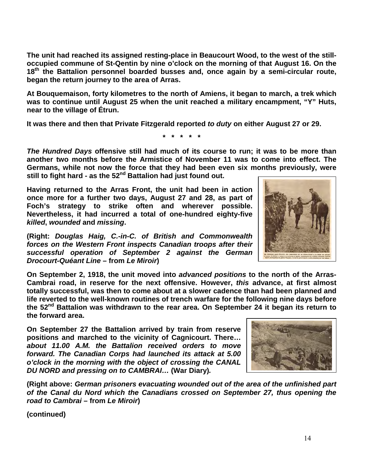**The unit had reached its assigned resting-place in Beaucourt Wood, to the west of the stilloccupied commune of St-Qentin by nine o'clock on the morning of that August 16. On the 18th the Battalion personnel boarded busses and, once again by a semi-circular route, began the return journey to the area of Arras.** 

**At Bouquemaison, forty kilometres to the north of Amiens, it began to march, a trek which was to continue until August 25 when the unit reached a military encampment, "Y" Huts, near to the village of Étrun.**

**It was there and then that Private Fitzgerald reported** *to duty* **on either August 27 or 29.**

**\* \* \* \* \***

*The Hundred Days* **offensive still had much of its course to run; it was to be more than another two months before the Armistice of November 11 was to come into effect. The Germans, while not now the force that they had been even six months previously, were**  still to fight hard - as the 52<sup>nd</sup> Battalion had just found out.

**Having returned to the Arras Front, the unit had been in action once more for a further two days, August 27 and 28, as part of Foch's strategy to strike often and wherever possible. Nevertheless, it had incurred a total of one-hundred eighty-five**  *killed***,** *wounded* **and** *missing***.** 

**(Right:** *Douglas Haig, C.-in-C. of British and Commonwealth forces on the Western Front inspects Canadian troops after their successful operation of September 2 against the German Drocourt-Quéant Line* **– from** *Le Miroir***)** 

**On September 2, 1918, the unit moved into** *advanced positions* **to the north of the Arras-Cambrai road, in reserve for the next offensive. However,** *this* **advance, at first almost totally successful, was then to come about at a slower cadence than had been planned and life reverted to the well-known routines of trench warfare for the following nine days before the 52nd Battalion was withdrawn to the rear area. On September 24 it began its return to the forward area.**

**On September 27 the Battalion arrived by train from reserve positions and marched to the vicinity of Cagnicourt. There…**  *about 11.00 A.M. the Battalion received orders to move forward. The Canadian Corps had launched its attack at 5.00 o'clock in the morning with the object of crossing the CANAL DU NORD and pressing on to CAMBRAI…* **(War Diary)***.* 

**(Right above:** *German prisoners evacuating wounded out of the area of the unfinished part of the Canal du Nord which the Canadians crossed on September 27, thus opening the road to Cambrai* **– from** *Le Miroir***)** 



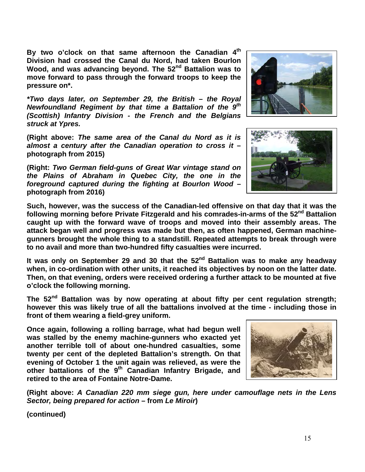**By two o'clock on that same afternoon the Canadian 4th Division had crossed the Canal du Nord, had taken Bourlon Wood, and was advancing beyond. The 52nd Battalion was to move forward to pass through the forward troops to keep the pressure on\*.** 

*\*Two days later, on September 29, the British – the Royal Newfoundland Regiment by that time a Battalion of the 9th (Scottish) Infantry Division - the French and the Belgians struck at Ypres.*

**(Right above:** *The same area of the Canal du Nord as it is almost a century after the Canadian operation to cross it* **– photograph from 2015)**

**(Right:** *Two German field-guns of Great War vintage stand on the Plains of Abraham in Quebec City, the one in the foreground captured during the fighting at Bourlon Wood* **– photograph from 2016)**





**Such, however, was the success of the Canadian-led offensive on that day that it was the**  following morning before Private Fitzgerald and his comrades-in-arms of the 52<sup>nd</sup> Battalion **caught up with the forward wave of troops and moved into their assembly areas. The attack began well and progress was made but then, as often happened, German machinegunners brought the whole thing to a standstill. Repeated attempts to break through were to no avail and more than two-hundred fifty casualties were incurred.**

**It was only on September 29 and 30 that the 52nd Battalion was to make any headway when, in co-ordination with other units, it reached its objectives by noon on the latter date. Then, on that evening, orders were received ordering a further attack to be mounted at five o'clock the following morning.**

**The 52nd Battalion was by now operating at about fifty per cent regulation strength; however this was likely true of all the battalions involved at the time - including those in front of them wearing a field-grey uniform.** 

**Once again, following a rolling barrage, what had begun well was stalled by the enemy machine-gunners who exacted yet another terrible toll of about one-hundred casualties, some twenty per cent of the depleted Battalion's strength. On that evening of October 1 the unit again was relieved, as were the other battalions of the 9th Canadian Infantry Brigade, and retired to the area of Fontaine Notre-Dame.**



**(Right above:** *A Canadian 220 mm siege gun, here under camouflage nets in the Lens Sector, being prepared for action* **– from** *Le Miroir***)**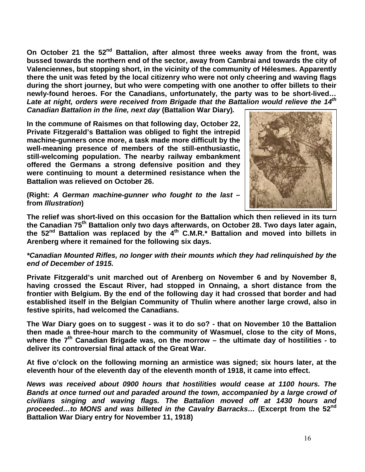On October 21 the 52<sup>nd</sup> Battalion, after almost three weeks away from the front, was **bussed towards the northern end of the sector, away from Cambrai and towards the city of Valenciennes, but stopping short, in the vicinity of the community of Hélesmes. Apparently there the unit was feted by the local citizenry who were not only cheering and waving flags during the short journey, but who were competing with one another to offer billets to their newly-found heroes. For the Canadians, unfortunately, the party was to be short-lived…**  Late at night, orders were received from Brigade that the Battalion would relieve the 14<sup>th</sup>

*Canadian Battalion in the line, next day* **(Battalion War Diary)***.* 

**In the commune of Raismes on that following day, October 22, Private Fitzgerald's Battalion was obliged to fight the intrepid machine-gunners once more, a task made more difficult by the well-meaning presence of members of the still-enthusiastic, still-welcoming population. The nearby railway embankment offered the Germans a strong defensive position and they were continuing to mount a determined resistance when the Battalion was relieved on October 26.**



**(Right:** *A German machine-gunner who fought to the last* **– from** *Illustration***)** 

**The relief was short-lived on this occasion for the Battalion which then relieved in its turn the Canadian 75th Battalion only two days afterwards, on October 28. Two days later again, the 52nd Battalion was replaced by the 4th C.M.R.\* Battalion and moved into billets in Arenberg where it remained for the following six days.**

*\*Canadian Mounted Rifles, no longer with their mounts which they had relinquished by the end of December of 1915.*

**Private Fitzgerald's unit marched out of Arenberg on November 6 and by November 8, having crossed the Escaut River, had stopped in Onnaing, a short distance from the frontier with Belgium. By the end of the following day it had crossed that border and had established itself in the Belgian Community of Thulin where another large crowd, also in festive spirits, had welcomed the Canadians.** 

**The War Diary goes on to suggest - was it to do so? - that on November 10 the Battalion then made a three-hour march to the community of Wasmuel, close to the city of Mons,**  where the 7<sup>th</sup> Canadian Brigade was, on the morrow – the ultimate day of hostilities - to **deliver its controversial final attack of the Great War.** 

**At five o'clock on the following morning an armistice was signed; six hours later, at the eleventh hour of the eleventh day of the eleventh month of 1918, it came into effect.** 

*News was received about 0900 hours that hostilities would cease at 1100 hours. The Bands at once turned out and paraded around the town, accompanied by a large crowd of civilians singing and waving flags. The Battalion moved off at 1430 hours and proceeded…to MONS and was billeted in the Cavalry Barracks…* **(Excerpt from the 52nd Battalion War Diary entry for November 11, 1918)**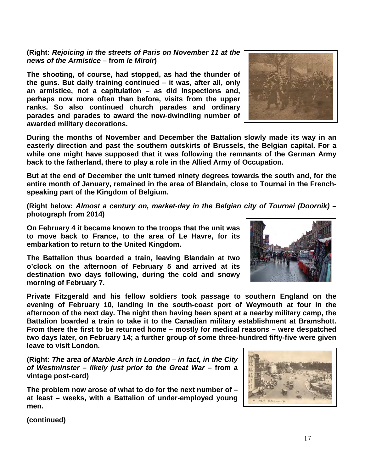**(continued)**

**afternoon of the next day. The night then having been spent at a nearby military camp, the Battalion boarded a train to take it to the Canadian military establishment at Bramshott. From there the first to be returned home – mostly for medical reasons – were despatched two days later, on February 14; a further group of some three-hundred fifty-five were given leave to visit London.**

**embarkation to return to the United Kingdom. The Battalion thus boarded a train, leaving Blandain at two o'clock on the afternoon of February 5 and arrived at its destination two days following, during the cold and snowy morning of February 7.**

**entire month of January, remained in the area of Blandain, close to Tournai in the Frenchspeaking part of the Kingdom of Belgium.** 

**back to the fatherland, there to play a role in the Allied Army of Occupation.**

**During the months of November and December the Battalion slowly made its way in an easterly direction and past the southern outskirts of Brussels, the Belgian capital. For a while one might have supposed that it was following the remnants of the German Army** 

**But at the end of December the unit turned ninety degrees towards the south and, for the** 

**(Right below:** *Almost a century on, market-day in the Belgian city of Tournai (Doornik)* **– photograph from 2014)**

**On February 4 it became known to the troops that the unit was to move back to France, to the area of Le Havre, for its** 

**Private Fitzgerald and his fellow soldiers took passage to southern England on the evening of February 10, landing in the south-coast port of Weymouth at four in the** 

**(Right:** *The area of Marble Arch in London – in fact, in the City of Westminster – likely just prior to the Great War* **– from a vintage post-card)**

**The problem now arose of what to do for the next number of – at least – weeks, with a Battalion of under-employed young men.** 

**(Right:** *Rejoicing in the streets of Paris on November 11 at the* 

*news of the Armistice* **– from** *le Miroir***) The shooting, of course, had stopped, as had the thunder of** 

**the guns. But daily training continued – it was, after all, only an armistice, not a capitulation – as did inspections and, perhaps now more often than before, visits from the upper ranks. So also continued church parades and ordinary parades and parades to award the now-dwindling number of** 

**awarded military decorations.**





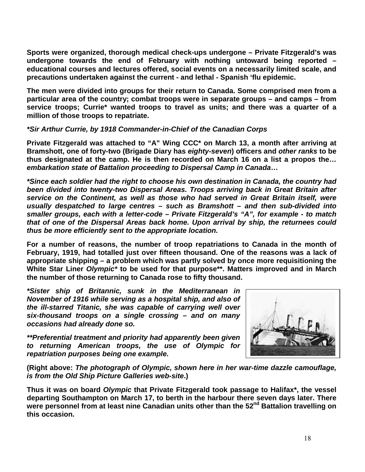**Sports were organized, thorough medical check-ups undergone – Private Fitzgerald's was undergone towards the end of February with nothing untoward being reported – educational courses and lectures offered, social events on a necessarily limited scale, and precautions undertaken against the current - and lethal - Spanish 'flu epidemic.**

**The men were divided into groups for their return to Canada. Some comprised men from a particular area of the country; combat troops were in separate groups – and camps – from service troops; Currie\* wanted troops to travel as units; and there was a quarter of a million of those troops to repatriate.**

# *\*Sir Arthur Currie, by 1918 Commander-in-Chief of the Canadian Corps*

**Private Fitzgerald was attached to "A" Wing CCC\* on March 13, a month after arriving at Bramshott, one of forty-two (Brigade Diary has** *eighty-seven***) officers and** *other ranks* **to be thus designated at the camp. He is then recorded on March 16 on a list a propos the…**  *embarkation state of Battalion proceeding to Dispersal Camp in Canada***…** 

*\*Since each soldier had the right to choose his own destination in Canada, the country had been divided into twenty-two Dispersal Areas. Troops arriving back in Great Britain after service on the Continent, as well as those who had served in Great Britain itself, were usually despatched to large centres – such as Bramshott – and then sub-divided into smaller groups, each with a letter-code – Private Fitzgerald's "A", for example - to match that of one of the Dispersal Areas back home. Upon arrival by ship, the returnees could thus be more efficiently sent to the appropriate location.*

**For a number of reasons, the number of troop repatriations to Canada in the month of February, 1919, had totalled just over fifteen thousand. One of the reasons was a lack of appropriate shipping – a problem which was partly solved by once more requisitioning the White Star Liner** *Olympic\** **to be used for that purpose\*\*. Matters improved and in March the number of those returning to Canada rose to fifty thousand.**

*\*Sister ship of Britannic, sunk in the Mediterranean in November of 1916 while serving as a hospital ship, and also of the ill-starred Titanic, she was capable of carrying well over six-thousand troops on a single crossing – and on many occasions had already done so.*

*\*\*Preferential treatment and priority had apparently been given to returning American troops, the use of Olympic for repatriation purposes being one example.*



**(Right above:** *The photograph of Olympic, shown here in her war-time dazzle camouflage, is from the Old Ship Picture Galleries web-site***.)**

**Thus it was on board** *Olympic* **that Private Fitzgerald took passage to Halifax\*, the vessel departing Southampton on March 17, to berth in the harbour there seven days later. There**  were personnel from at least nine Canadian units other than the 52<sup>nd</sup> Battalion travelling on **this occasion.**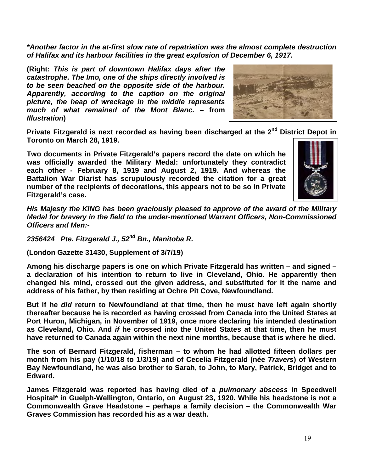*\*Another factor in the at-first slow rate of repatriation was the almost complete destruction of Halifax and its harbour facilities in the great explosion of December 6, 1917.*

**(Right:** *This is part of downtown Halifax days after the catastrophe. The Imo, one of the ships directly involved is to be seen beached on the opposite side of the harbour. Apparently, according to the caption on the original picture, the heap of wreckage in the middle represents much of what remained of the Mont Blanc. –* **from**  *Illustration***)** 



**Private Fitzgerald is next recorded as having been discharged at the 2nd District Depot in Toronto on March 28, 1919.**

**Two documents in Private Fitzgerald's papers record the date on which he was officially awarded the Military Medal: unfortunately they contradict each other - February 8, 1919 and August 2, 1919. And whereas the Battalion War Diarist has scrupulously recorded the citation for a great number of the recipients of decorations, this appears not to be so in Private Fitzgerald's case.**



*His Majesty the KING has been graciously pleased to approve of the award of the Military Medal for bravery in the field to the under-mentioned Warrant Officers, Non-Commissioned Officers and Men:-* 

*2356424 Pte. Fitzgerald J., 52nd Bn., Manitoba R.* 

**(London Gazette 31430, Supplement of 3/7/19)**

**Among his discharge papers is one on which Private Fitzgerald has written – and signed – a declaration of his intention to return to live in Cleveland, Ohio. He apparently then changed his mind, crossed out the given address, and substituted for it the name and address of his father, by then residing at Ochre Pit Cove, Newfoundland.**

**But if he** *did* **return to Newfoundland at that time, then he must have left again shortly thereafter because he is recorded as having crossed from Canada into the United States at Port Huron, Michigan, in November of 1919, once more declaring his intended destination as Cleveland, Ohio. And** *if* **he crossed into the United States at that time, then he must have returned to Canada again within the next nine months, because that is where he died.**

**The son of Bernard Fitzgerald, fisherman – to whom he had allotted fifteen dollars per month from his pay (1/10/18 to 1/3/19) and of Cecelia Fitzgerald (née** *Travers***) of Western Bay Newfoundland, he was also brother to Sarah, to John, to Mary, Patrick, Bridget and to Edward.**

**James Fitzgerald was reported has having died of a** *pulmonary abscess* **in Speedwell Hospital\* in Guelph-Wellington, Ontario, on August 23, 1920. While his headstone is not a Commonwealth Grave Headstone – perhaps a family decision – the Commonwealth War Graves Commission has recorded his as a war death.**